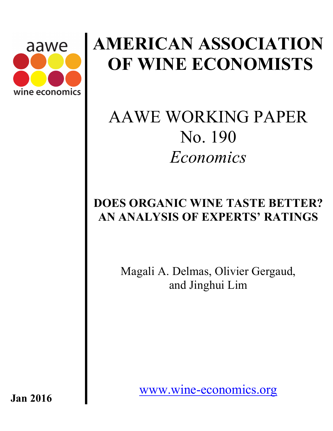

# **AMERICAN ASSOCIATION OF WINE ECONOMISTS**

## AAWE WORKING PAPER No. 190 *Economics*

## **DOES ORGANIC WINE TASTE BETTER? AN ANALYSIS OF EXPERTS' RATINGS**

Magali A. Delmas, Olivier Gergaud, and Jinghui Lim

www.wine-economics.org

**Jan 2016**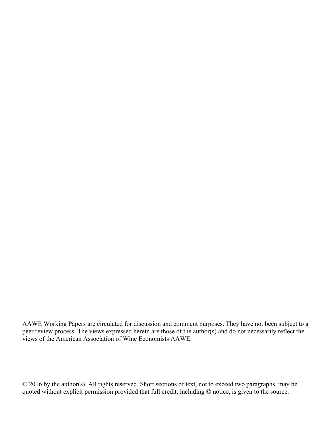AAWE Working Papers are circulated for discussion and comment purposes. They have not been subject to a peer review process. The views expressed herein are those of the author(s) and do not necessarily reflect the views of the American Association of Wine Economists AAWE.

© 2016 by the author(s). All rights reserved. Short sections of text, not to exceed two paragraphs, may be quoted without explicit permission provided that full credit, including © notice, is given to the source.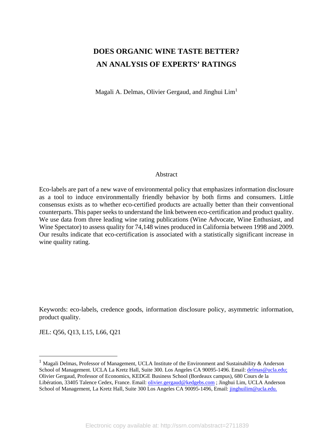## **DOES ORGANIC WINE TASTE BETTER? AN ANALYSIS OF EXPERTS' RATINGS**

Magali A. Delmas, Olivier Gergaud, and Jinghui  $\text{Lim}^1$ 

#### Abstract

Eco-labels are part of a new wave of environmental policy that emphasizes information disclosure as a tool to induce environmentally friendly behavior by both firms and consumers. Little consensus exists as to whether eco-certified products are actually better than their conventional counterparts. This paper seeks to understand the link between eco-certification and product quality. We use data from three leading wine rating publications (Wine Advocate, Wine Enthusiast, and Wine Spectator) to assess quality for 74,148 wines produced in California between 1998 and 2009. Our results indicate that eco-certification is associated with a statistically significant increase in wine quality rating.

Keywords: eco-labels, credence goods, information disclosure policy, asymmetric information, product quality.

JEL: Q56, Q13, L15, L66, Q21

<sup>&</sup>lt;sup>1</sup> Magali Delmas, Professor of Management, UCLA Institute of the Environment and Sustainability & Anderson School of Management. UCLA La Kretz Hall, Suite 300. Los Angeles CA 90095-1496. Email: delmas@ucla.edu; Olivier Gergaud, Professor of Economics, KEDGE Business School (Bordeaux campus), 680 Cours de la Libération, 33405 Talence Cedex, France. Email: olivier.gergaud@kedgebs.com ; Jinghui Lim, UCLA Anderson School of Management, La Kretz Hall, Suite 300 Los Angeles CA 90095-1496, Email: *jinghuilim@ucla.edu.*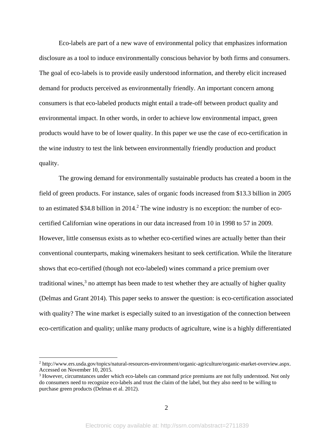Eco-labels are part of a new wave of environmental policy that emphasizes information disclosure as a tool to induce environmentally conscious behavior by both firms and consumers. The goal of eco-labels is to provide easily understood information, and thereby elicit increased demand for products perceived as environmentally friendly. An important concern among consumers is that eco-labeled products might entail a trade-off between product quality and environmental impact. In other words, in order to achieve low environmental impact, green products would have to be of lower quality. In this paper we use the case of eco-certification in the wine industry to test the link between environmentally friendly production and product quality.

The growing demand for environmentally sustainable products has created a boom in the field of green products. For instance, sales of organic foods increased from \$13.3 billion in 2005 to an estimated \$34.8 billion in  $2014<sup>2</sup>$ . The wine industry is no exception: the number of ecocertified Californian wine operations in our data increased from 10 in 1998 to 57 in 2009. However, little consensus exists as to whether eco-certified wines are actually better than their conventional counterparts, making winemakers hesitant to seek certification. While the literature shows that eco-certified (though not eco-labeled) wines command a price premium over traditional wines, $3$  no attempt has been made to test whether they are actually of higher quality (Delmas and Grant 2014). This paper seeks to answer the question: is eco-certification associated with quality? The wine market is especially suited to an investigation of the connection between eco-certification and quality; unlike many products of agriculture, wine is a highly differentiated

<sup>2</sup> http://www.ers.usda.gov/topics/natural-resources-environment/organic-agriculture/organic-market-overview.aspx. Accessed on November 10, 2015.

<sup>&</sup>lt;sup>3</sup> However, circumstances under which eco-labels can command price premiums are not fully understood. Not only do consumers need to recognize eco-labels and trust the claim of the label, but they also need to be willing to purchase green products (Delmas et al. 2012).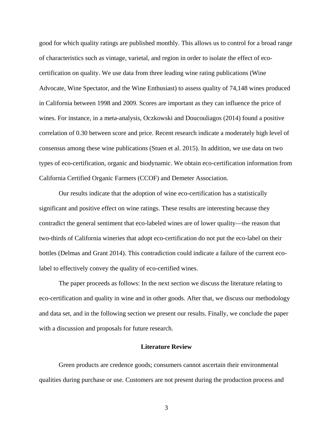good for which quality ratings are published monthly. This allows us to control for a broad range of characteristics such as vintage, varietal, and region in order to isolate the effect of ecocertification on quality. We use data from three leading wine rating publications (Wine Advocate, Wine Spectator, and the Wine Enthusiast) to assess quality of 74,148 wines produced in California between 1998 and 2009. Scores are important as they can influence the price of wines. For instance, in a meta-analysis, Oczkowski and Doucouliagos (2014) found a positive correlation of 0.30 between score and price. Recent research indicate a moderately high level of consensus among these wine publications (Stuen et al. 2015). In addition, we use data on two types of eco-certification, organic and biodynamic. We obtain eco-certification information from California Certified Organic Farmers (CCOF) and Demeter Association.

Our results indicate that the adoption of wine eco-certification has a statistically significant and positive effect on wine ratings. These results are interesting because they contradict the general sentiment that eco-labeled wines are of lower quality—the reason that two-thirds of California wineries that adopt eco-certification do not put the eco-label on their bottles (Delmas and Grant 2014). This contradiction could indicate a failure of the current ecolabel to effectively convey the quality of eco-certified wines.

The paper proceeds as follows: In the next section we discuss the literature relating to eco-certification and quality in wine and in other goods. After that, we discuss our methodology and data set, and in the following section we present our results. Finally, we conclude the paper with a discussion and proposals for future research.

#### **Literature Review**

Green products are credence goods; consumers cannot ascertain their environmental qualities during purchase or use. Customers are not present during the production process and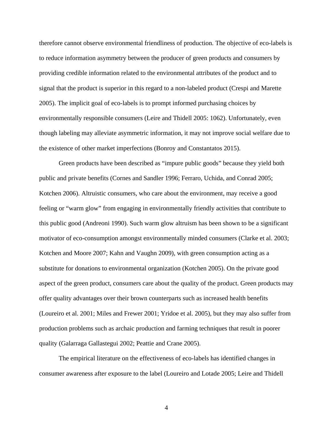therefore cannot observe environmental friendliness of production. The objective of eco-labels is to reduce information asymmetry between the producer of green products and consumers by providing credible information related to the environmental attributes of the product and to signal that the product is superior in this regard to a non-labeled product (Crespi and Marette 2005). The implicit goal of eco-labels is to prompt informed purchasing choices by environmentally responsible consumers (Leire and Thidell 2005: 1062). Unfortunately, even though labeling may alleviate asymmetric information, it may not improve social welfare due to the existence of other market imperfections (Bonroy and Constantatos 2015).

Green products have been described as "impure public goods" because they yield both public and private benefits (Cornes and Sandler 1996; Ferraro, Uchida, and Conrad 2005; Kotchen 2006). Altruistic consumers, who care about the environment, may receive a good feeling or "warm glow" from engaging in environmentally friendly activities that contribute to this public good (Andreoni 1990). Such warm glow altruism has been shown to be a significant motivator of eco-consumption amongst environmentally minded consumers (Clarke et al. 2003; Kotchen and Moore 2007; Kahn and Vaughn 2009), with green consumption acting as a substitute for donations to environmental organization (Kotchen 2005). On the private good aspect of the green product, consumers care about the quality of the product. Green products may offer quality advantages over their brown counterparts such as increased health benefits (Loureiro et al. 2001; Miles and Frewer 2001; Yridoe et al. 2005), but they may also suffer from production problems such as archaic production and farming techniques that result in poorer quality (Galarraga Gallastegui 2002; Peattie and Crane 2005).

The empirical literature on the effectiveness of eco-labels has identified changes in consumer awareness after exposure to the label (Loureiro and Lotade 2005; Leire and Thidell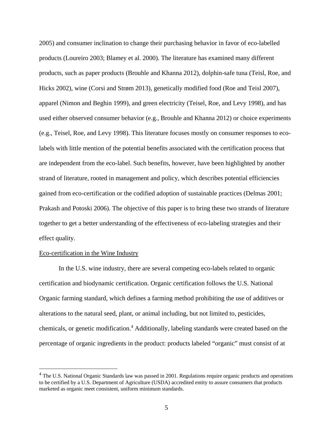2005) and consumer inclination to change their purchasing behavior in favor of eco-labelled products (Loureiro 2003; Blamey et al. 2000). The literature has examined many different products, such as paper products (Brouhle and Khanna 2012), dolphin-safe tuna (Teisl, Roe, and Hicks 2002), wine (Corsi and Strøm 2013), genetically modified food (Roe and Teisl 2007), apparel (Nimon and Beghin 1999), and green electricity (Teisel, Roe, and Levy 1998), and has used either observed consumer behavior (e.g., Brouhle and Khanna 2012) or choice experiments (e.g., Teisel, Roe, and Levy 1998). This literature focuses mostly on consumer responses to ecolabels with little mention of the potential benefits associated with the certification process that are independent from the eco-label. Such benefits, however, have been highlighted by another strand of literature, rooted in management and policy, which describes potential efficiencies gained from eco-certification or the codified adoption of sustainable practices (Delmas 2001; Prakash and Potoski 2006). The objective of this paper is to bring these two strands of literature together to get a better understanding of the effectiveness of eco-labeling strategies and their effect quality.

#### Eco-certification in the Wine Industry

1

In the U.S. wine industry, there are several competing eco-labels related to organic certification and biodynamic certification. Organic certification follows the U.S. National Organic farming standard, which defines a farming method prohibiting the use of additives or alterations to the natural seed, plant, or animal including, but not limited to, pesticides, chemicals, or genetic modification.<sup>4</sup> Additionally, labeling standards were created based on the percentage of organic ingredients in the product: products labeled "organic" must consist of at

<sup>&</sup>lt;sup>4</sup> The U.S. National Organic Standards law was passed in 2001. Regulations require organic products and operations to be certified by a U.S. Department of Agriculture (USDA) accredited entity to assure consumers that products marketed as organic meet consistent, uniform minimum standards.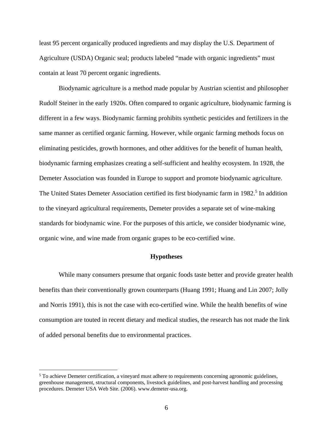least 95 percent organically produced ingredients and may display the U.S. Department of Agriculture (USDA) Organic seal; products labeled "made with organic ingredients" must contain at least 70 percent organic ingredients.

Biodynamic agriculture is a method made popular by Austrian scientist and philosopher Rudolf Steiner in the early 1920s. Often compared to organic agriculture, biodynamic farming is different in a few ways. Biodynamic farming prohibits synthetic pesticides and fertilizers in the same manner as certified organic farming. However, while organic farming methods focus on eliminating pesticides, growth hormones, and other additives for the benefit of human health, biodynamic farming emphasizes creating a self-sufficient and healthy ecosystem. In 1928, the Demeter Association was founded in Europe to support and promote biodynamic agriculture. The United States Demeter Association certified its first biodynamic farm in 1982.<sup>5</sup> In addition to the vineyard agricultural requirements, Demeter provides a separate set of wine-making standards for biodynamic wine. For the purposes of this article, we consider biodynamic wine, organic wine, and wine made from organic grapes to be eco-certified wine.

#### **Hypotheses**

While many consumers presume that organic foods taste better and provide greater health benefits than their conventionally grown counterparts (Huang 1991; Huang and Lin 2007; Jolly and Norris 1991), this is not the case with eco-certified wine. While the health benefits of wine consumption are touted in recent dietary and medical studies, the research has not made the link of added personal benefits due to environmental practices.

<sup>&</sup>lt;sup>5</sup> To achieve Demeter certification, a vineyard must adhere to requirements concerning agronomic guidelines, greenhouse management, structural components, livestock guidelines, and post-harvest handling and processing procedures. Demeter USA Web Site. (2006). www.demeter-usa.org.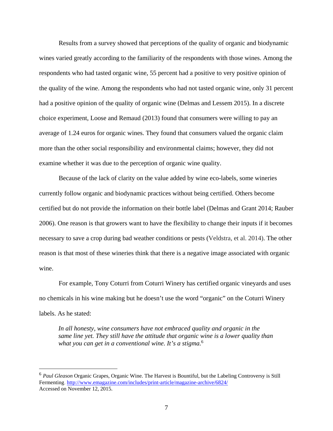Results from a survey showed that perceptions of the quality of organic and biodynamic wines varied greatly according to the familiarity of the respondents with those wines. Among the respondents who had tasted organic wine, 55 percent had a positive to very positive opinion of the quality of the wine. Among the respondents who had not tasted organic wine, only 31 percent had a positive opinion of the quality of organic wine (Delmas and Lessem 2015). In a discrete choice experiment, Loose and Remaud (2013) found that consumers were willing to pay an average of 1.24 euros for organic wines. They found that consumers valued the organic claim more than the other social responsibility and environmental claims; however, they did not examine whether it was due to the perception of organic wine quality.

Because of the lack of clarity on the value added by wine eco-labels, some wineries currently follow organic and biodynamic practices without being certified. Others become certified but do not provide the information on their bottle label (Delmas and Grant 2014; Rauber 2006). One reason is that growers want to have the flexibility to change their inputs if it becomes necessary to save a crop during bad weather conditions or pests (Veldstra, et al. 2014). The other reason is that most of these wineries think that there is a negative image associated with organic wine.

For example, Tony Coturri from Coturri Winery has certified organic vineyards and uses no chemicals in his wine making but he doesn't use the word "organic" on the Coturri Winery labels. As he stated:

*In all honesty, wine consumers have not embraced quality and organic in the same line yet. They still have the attitude that organic wine is a lower quality than what you can get in a conventional wine. It's a stigma.*<sup>6</sup>

<sup>6</sup> *Paul Gleason* Organic Grapes, Organic Wine. The Harvest is Bountiful, but the Labeling Controversy is Still Fermenting. http://www.emagazine.com/includes/print-article/magazine-archive/6824/ Accessed on November 12, 2015.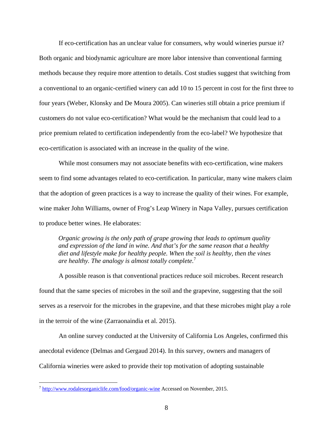If eco-certification has an unclear value for consumers, why would wineries pursue it? Both organic and biodynamic agriculture are more labor intensive than conventional farming methods because they require more attention to details. Cost studies suggest that switching from a conventional to an organic-certified winery can add 10 to 15 percent in cost for the first three to four years (Weber, Klonsky and De Moura 2005). Can wineries still obtain a price premium if customers do not value eco-certification? What would be the mechanism that could lead to a price premium related to certification independently from the eco-label? We hypothesize that eco-certification is associated with an increase in the quality of the wine.

While most consumers may not associate benefits with eco-certification, wine makers seem to find some advantages related to eco-certification. In particular, many wine makers claim that the adoption of green practices is a way to increase the quality of their wines. For example, wine maker John Williams, owner of Frog's Leap Winery in Napa Valley, pursues certification to produce better wines. He elaborates:

*Organic growing is the only path of grape growing that leads to optimum quality and expression of the land in wine. And that's for the same reason that a healthy diet and lifestyle make for healthy people. When the soil is healthy, then the vines are healthy. The analogy is almost totally complete.*<sup>7</sup>

A possible reason is that conventional practices reduce soil microbes. Recent research found that the same species of microbes in the soil and the grapevine, suggesting that the soil serves as a reservoir for the microbes in the grapevine, and that these microbes might play a role in the terroir of the wine (Zarraonaindia et al. 2015).

An online survey conducted at the University of California Los Angeles, confirmed this anecdotal evidence (Delmas and Gergaud 2014). In this survey, owners and managers of California wineries were asked to provide their top motivation of adopting sustainable

<sup>7</sup> http://www.rodalesorganiclife.com/food/organic-wine Accessed on November, 2015.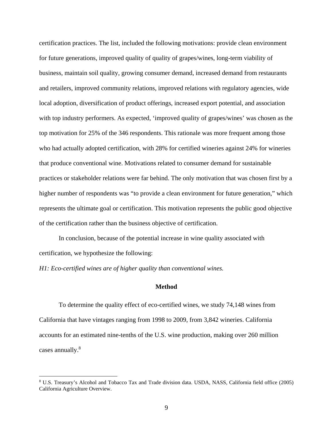certification practices. The list, included the following motivations: provide clean environment for future generations, improved quality of quality of grapes/wines, long-term viability of business, maintain soil quality, growing consumer demand, increased demand from restaurants and retailers, improved community relations, improved relations with regulatory agencies, wide local adoption, diversification of product offerings, increased export potential, and association with top industry performers. As expected, 'improved quality of grapes/wines' was chosen as the top motivation for 25% of the 346 respondents. This rationale was more frequent among those who had actually adopted certification, with 28% for certified wineries against 24% for wineries that produce conventional wine. Motivations related to consumer demand for sustainable practices or stakeholder relations were far behind. The only motivation that was chosen first by a higher number of respondents was "to provide a clean environment for future generation," which represents the ultimate goal or certification. This motivation represents the public good objective of the certification rather than the business objective of certification.

In conclusion, because of the potential increase in wine quality associated with certification, we hypothesize the following:

*H1: Eco-certified wines are of higher quality than conventional wines.* 

 $\overline{a}$ 

#### **Method**

To determine the quality effect of eco-certified wines, we study 74,148 wines from California that have vintages ranging from 1998 to 2009, from 3,842 wineries. California accounts for an estimated nine-tenths of the U.S. wine production, making over 260 million cases annually.<sup>8</sup>

<sup>8</sup> U.S. Treasury's Alcohol and Tobacco Tax and Trade division data. USDA, NASS, California field office (2005) California Agriculture Overview.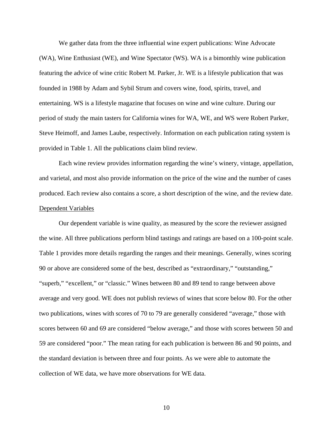We gather data from the three influential wine expert publications: Wine Advocate (WA), Wine Enthusiast (WE), and Wine Spectator (WS). WA is a bimonthly wine publication featuring the advice of wine critic Robert M. Parker, Jr. WE is a lifestyle publication that was founded in 1988 by Adam and Sybil Strum and covers wine, food, spirits, travel, and entertaining. WS is a lifestyle magazine that focuses on wine and wine culture. During our period of study the main tasters for California wines for WA, WE, and WS were Robert Parker, Steve Heimoff, and James Laube, respectively. Information on each publication rating system is provided in Table 1. All the publications claim blind review.

Each wine review provides information regarding the wine's winery, vintage, appellation, and varietal, and most also provide information on the price of the wine and the number of cases produced. Each review also contains a score, a short description of the wine, and the review date. Dependent Variables

Our dependent variable is wine quality, as measured by the score the reviewer assigned the wine. All three publications perform blind tastings and ratings are based on a 100-point scale. Table 1 provides more details regarding the ranges and their meanings. Generally, wines scoring 90 or above are considered some of the best, described as "extraordinary," "outstanding," "superb," "excellent," or "classic." Wines between 80 and 89 tend to range between above average and very good. WE does not publish reviews of wines that score below 80. For the other two publications, wines with scores of 70 to 79 are generally considered "average," those with scores between 60 and 69 are considered "below average," and those with scores between 50 and 59 are considered "poor." The mean rating for each publication is between 86 and 90 points, and the standard deviation is between three and four points. As we were able to automate the collection of WE data, we have more observations for WE data.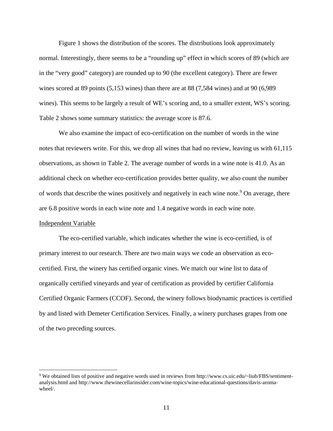Figure 1 shows the distribution of the scores. The distributions look approximately normal. Interestingly, there seems to be a "rounding up" effect in which scores of 89 (which are in the "very good" category) are rounded up to 90 (the excellent category). There are fewer wines scored at 89 points (5,153 wines) than there are at 88 (7,584 wines) and at 90 (6,989 wines). This seems to be largely a result of WE's scoring and, to a smaller extent, WS's scoring. Table 2 shows some summary statistics: the average score is 87.6.

We also examine the impact of eco-certification on the number of words in the wine notes that reviewers write. For this, we drop all wines that had no review, leaving us with 61,115 observations, as shown in Table 2. The average number of words in a wine note is 41.0. As an additional check on whether eco-certification provides better quality, we also count the number of words that describe the wines positively and negatively in each wine note.<sup>9</sup> On average, there are 6.8 positive words in each wine note and 1.4 negative words in each wine note.

#### Independent Variable

1

The eco-certified variable, which indicates whether the wine is eco-certified, is of primary interest to our research. There are two main ways we code an observation as ecocertified. First, the winery has certified organic vines. We match our wine list to data of organically certified vineyards and year of certification as provided by certifier California Certified Organic Farmers (CCOF). Second, the winery follows biodynamic practices is certified by and listed with Demeter Certification Services. Finally, a winery purchases grapes from one of the two preceding sources.

<sup>9</sup> We obtained lists of positive and negative words used in reviews from http://www.cs.uic.edu/~liub/FBS/sentimentanalysis.html and http://www.thewinecellarinsider.com/wine-topics/wine-educational-questions/davis-aromawheel/.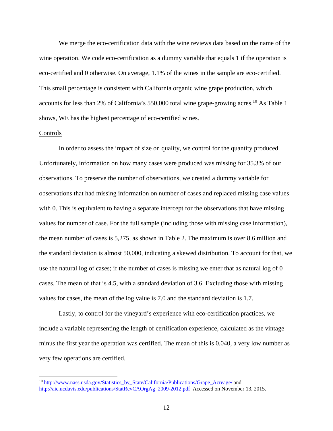We merge the eco-certification data with the wine reviews data based on the name of the wine operation. We code eco-certification as a dummy variable that equals 1 if the operation is eco-certified and 0 otherwise. On average, 1.1% of the wines in the sample are eco-certified. This small percentage is consistent with California organic wine grape production, which accounts for less than 2% of California's 550,000 total wine grape-growing acres.<sup>10</sup> As Table 1 shows, WE has the highest percentage of eco-certified wines.

#### Controls

1

In order to assess the impact of size on quality, we control for the quantity produced. Unfortunately, information on how many cases were produced was missing for 35.3% of our observations. To preserve the number of observations, we created a dummy variable for observations that had missing information on number of cases and replaced missing case values with 0. This is equivalent to having a separate intercept for the observations that have missing values for number of case. For the full sample (including those with missing case information), the mean number of cases is 5,275, as shown in Table 2. The maximum is over 8.6 million and the standard deviation is almost 50,000, indicating a skewed distribution. To account for that, we use the natural log of cases; if the number of cases is missing we enter that as natural log of 0 cases. The mean of that is 4.5, with a standard deviation of 3.6. Excluding those with missing values for cases, the mean of the log value is 7.0 and the standard deviation is 1.7.

Lastly, to control for the vineyard's experience with eco-certification practices, we include a variable representing the length of certification experience, calculated as the vintage minus the first year the operation was certified. The mean of this is 0.040, a very low number as very few operations are certified.

<sup>&</sup>lt;sup>10</sup> http://www.nass.usda.gov/Statistics\_by\_State/California/Publications/Grape\_Acreage/ and http://aic.ucdavis.edu/publications/StatRevCAOrgAg\_2009-2012.pdf Accessed on November 13, 2015.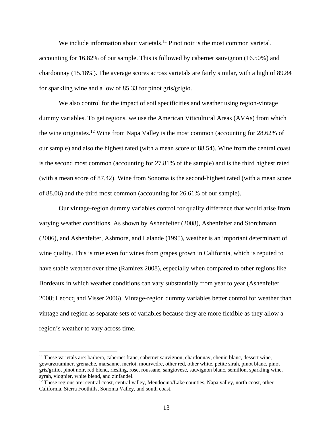We include information about varietals.<sup>11</sup> Pinot noir is the most common varietal, accounting for 16.82% of our sample. This is followed by cabernet sauvignon (16.50%) and chardonnay (15.18%). The average scores across varietals are fairly similar, with a high of 89.84 for sparkling wine and a low of 85.33 for pinot gris/grigio.

We also control for the impact of soil specificities and weather using region-vintage dummy variables. To get regions, we use the American Viticultural Areas (AVAs) from which the wine originates.12 Wine from Napa Valley is the most common (accounting for 28.62% of our sample) and also the highest rated (with a mean score of 88.54). Wine from the central coast is the second most common (accounting for 27.81% of the sample) and is the third highest rated (with a mean score of 87.42). Wine from Sonoma is the second-highest rated (with a mean score of 88.06) and the third most common (accounting for 26.61% of our sample).

Our vintage-region dummy variables control for quality difference that would arise from varying weather conditions. As shown by Ashenfelter (2008), Ashenfelter and Storchmann (2006), and Ashenfelter, Ashmore, and Lalande (1995), weather is an important determinant of wine quality. This is true even for wines from grapes grown in California, which is reputed to have stable weather over time (Ramirez 2008), especially when compared to other regions like Bordeaux in which weather conditions can vary substantially from year to year (Ashenfelter 2008; Lecocq and Visser 2006). Vintage-region dummy variables better control for weather than vintage and region as separate sets of variables because they are more flexible as they allow a region's weather to vary across time.

<sup>11</sup> These varietals are: barbera, cabernet franc, cabernet sauvignon, chardonnay, chenin blanc, dessert wine, gewurztraminer, grenache, marsanne, merlot, mourvedre, other red, other white, petite sirah, pinot blanc, pinot gris/gritio, pinot noir, red blend, riesling, rose, roussane, sangiovese, sauvignon blanc, semillon, sparkling wine, syrah, viognier, white blend, and zinfandel.

<sup>&</sup>lt;sup>12</sup> These regions are: central coast, central valley, Mendocino/Lake counties, Napa valley, north coast, other California, Sierra Foothills, Sonoma Valley, and south coast.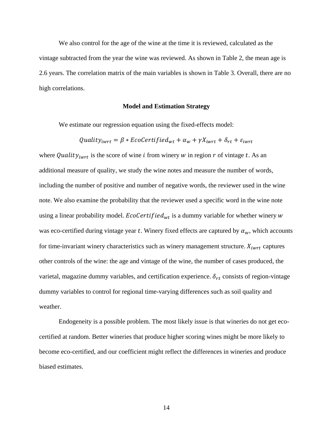We also control for the age of the wine at the time it is reviewed, calculated as the vintage subtracted from the year the wine was reviewed. As shown in Table 2, the mean age is 2.6 years. The correlation matrix of the main variables is shown in Table 3. Overall, there are no high correlations.

#### **Model and Estimation Strategy**

We estimate our regression equation using the fixed-effects model:

$$
Quality_{iwrt} = \beta * EcoCertified_{wt} + \alpha_w + \gamma X_{iwrt} + \delta_{rt} + \varepsilon_{iwrt}
$$

where Quality<sub>iwrt</sub> is the score of wine *i* from winery w in region  $r$  of vintage  $t$ . As an additional measure of quality, we study the wine notes and measure the number of words, including the number of positive and number of negative words, the reviewer used in the wine note. We also examine the probability that the reviewer used a specific word in the wine note using a linear probability model.  $EcoCertified_{wt}$  is a dummy variable for whether winery w was eco-certified during vintage year t. Winery fixed effects are captured by  $\alpha_w$ , which accounts for time-invariant winery characteristics such as winery management structure.  $X_{i w r t}$  captures other controls of the wine: the age and vintage of the wine, the number of cases produced, the varietal, magazine dummy variables, and certification experience.  $\delta_{rt}$  consists of region-vintage dummy variables to control for regional time-varying differences such as soil quality and weather.

Endogeneity is a possible problem. The most likely issue is that wineries do not get ecocertified at random. Better wineries that produce higher scoring wines might be more likely to become eco-certified, and our coefficient might reflect the differences in wineries and produce biased estimates.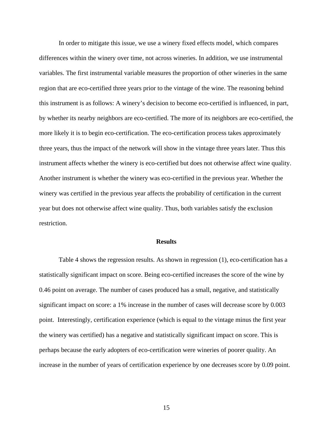In order to mitigate this issue, we use a winery fixed effects model, which compares differences within the winery over time, not across wineries. In addition, we use instrumental variables. The first instrumental variable measures the proportion of other wineries in the same region that are eco-certified three years prior to the vintage of the wine. The reasoning behind this instrument is as follows: A winery's decision to become eco-certified is influenced, in part, by whether its nearby neighbors are eco-certified. The more of its neighbors are eco-certified, the more likely it is to begin eco-certification. The eco-certification process takes approximately three years, thus the impact of the network will show in the vintage three years later. Thus this instrument affects whether the winery is eco-certified but does not otherwise affect wine quality. Another instrument is whether the winery was eco-certified in the previous year. Whether the winery was certified in the previous year affects the probability of certification in the current year but does not otherwise affect wine quality. Thus, both variables satisfy the exclusion restriction.

#### **Results**

Table 4 shows the regression results. As shown in regression (1), eco-certification has a statistically significant impact on score. Being eco-certified increases the score of the wine by 0.46 point on average. The number of cases produced has a small, negative, and statistically significant impact on score: a 1% increase in the number of cases will decrease score by 0.003 point. Interestingly, certification experience (which is equal to the vintage minus the first year the winery was certified) has a negative and statistically significant impact on score. This is perhaps because the early adopters of eco-certification were wineries of poorer quality. An increase in the number of years of certification experience by one decreases score by 0.09 point.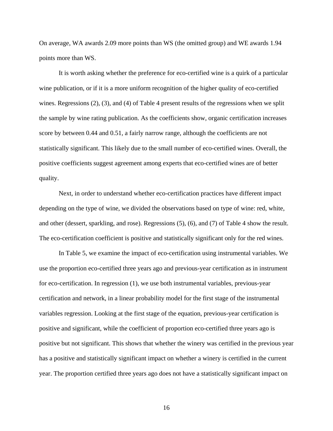On average, WA awards 2.09 more points than WS (the omitted group) and WE awards 1.94 points more than WS.

It is worth asking whether the preference for eco-certified wine is a quirk of a particular wine publication, or if it is a more uniform recognition of the higher quality of eco-certified wines. Regressions (2), (3), and (4) of Table 4 present results of the regressions when we split the sample by wine rating publication. As the coefficients show, organic certification increases score by between 0.44 and 0.51, a fairly narrow range, although the coefficients are not statistically significant. This likely due to the small number of eco-certified wines. Overall, the positive coefficients suggest agreement among experts that eco-certified wines are of better quality.

Next, in order to understand whether eco-certification practices have different impact depending on the type of wine, we divided the observations based on type of wine: red, white, and other (dessert, sparkling, and rose). Regressions (5), (6), and (7) of Table 4 show the result. The eco-certification coefficient is positive and statistically significant only for the red wines.

In Table 5, we examine the impact of eco-certification using instrumental variables. We use the proportion eco-certified three years ago and previous-year certification as in instrument for eco-certification. In regression (1), we use both instrumental variables, previous-year certification and network, in a linear probability model for the first stage of the instrumental variables regression. Looking at the first stage of the equation, previous-year certification is positive and significant, while the coefficient of proportion eco-certified three years ago is positive but not significant. This shows that whether the winery was certified in the previous year has a positive and statistically significant impact on whether a winery is certified in the current year. The proportion certified three years ago does not have a statistically significant impact on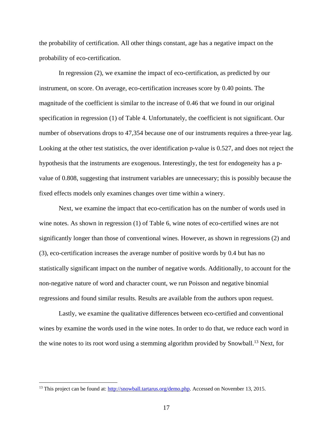the probability of certification. All other things constant, age has a negative impact on the probability of eco-certification.

In regression (2), we examine the impact of eco-certification, as predicted by our instrument, on score. On average, eco-certification increases score by 0.40 points. The magnitude of the coefficient is similar to the increase of 0.46 that we found in our original specification in regression (1) of Table 4. Unfortunately, the coefficient is not significant. Our number of observations drops to 47,354 because one of our instruments requires a three-year lag. Looking at the other test statistics, the over identification p-value is 0.527, and does not reject the hypothesis that the instruments are exogenous. Interestingly, the test for endogeneity has a pvalue of 0.808, suggesting that instrument variables are unnecessary; this is possibly because the fixed effects models only examines changes over time within a winery.

Next, we examine the impact that eco-certification has on the number of words used in wine notes. As shown in regression (1) of Table 6, wine notes of eco-certified wines are not significantly longer than those of conventional wines. However, as shown in regressions (2) and (3), eco-certification increases the average number of positive words by 0.4 but has no statistically significant impact on the number of negative words. Additionally, to account for the non-negative nature of word and character count, we run Poisson and negative binomial regressions and found similar results. Results are available from the authors upon request.

Lastly, we examine the qualitative differences between eco-certified and conventional wines by examine the words used in the wine notes. In order to do that, we reduce each word in the wine notes to its root word using a stemming algorithm provided by Snowball.<sup>13</sup> Next, for

<sup>&</sup>lt;sup>13</sup> This project can be found at: http://snowball.tartarus.org/demo.php. Accessed on November 13, 2015.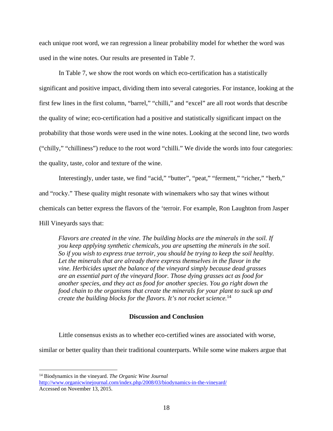each unique root word, we ran regression a linear probability model for whether the word was used in the wine notes. Our results are presented in Table 7.

In Table 7, we show the root words on which eco-certification has a statistically significant and positive impact, dividing them into several categories. For instance, looking at the first few lines in the first column, "barrel," "chilli," and "excel" are all root words that describe the quality of wine; eco-certification had a positive and statistically significant impact on the probability that those words were used in the wine notes. Looking at the second line, two words ("chilly," "chilliness") reduce to the root word "chilli." We divide the words into four categories: the quality, taste, color and texture of the wine.

Interestingly, under taste, we find "acid," "butter", "peat," "ferment," "richer," "herb," and "rocky." These quality might resonate with winemakers who say that wines without chemicals can better express the flavors of the 'terroir. For example, Ron Laughton from Jasper Hill Vineyards says that:

*Flavors are created in the vine. The building blocks are the minerals in the soil. If you keep applying synthetic chemicals, you are upsetting the minerals in the soil. So if you wish to express true terroir, you should be trying to keep the soil healthy.*  Let the minerals that are already there express themselves in the flavor in the *vine. Herbicides upset the balance of the vineyard simply because dead grasses are an essential part of the vineyard floor. Those dying grasses act as food for another species, and they act as food for another species. You go right down the food chain to the organisms that create the minerals for your plant to suck up and create the building blocks for the flavors. It's not rocket science.*<sup>14</sup>

#### **Discussion and Conclusion**

Little consensus exists as to whether eco-certified wines are associated with worse,

similar or better quality than their traditional counterparts. While some wine makers argue that

<sup>14</sup> Biodynamics in the vineyard. *The Organic Wine Journal* http://www.organicwinejournal.com/index.php/2008/03/biodynamics-in-the-vineyard/ Accessed on November 13, 2015.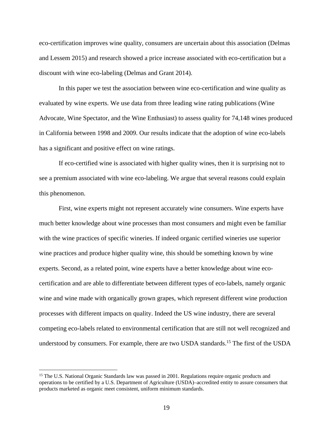eco-certification improves wine quality, consumers are uncertain about this association (Delmas and Lessem 2015) and research showed a price increase associated with eco-certification but a discount with wine eco-labeling (Delmas and Grant 2014).

In this paper we test the association between wine eco-certification and wine quality as evaluated by wine experts. We use data from three leading wine rating publications (Wine Advocate, Wine Spectator, and the Wine Enthusiast) to assess quality for 74,148 wines produced in California between 1998 and 2009. Our results indicate that the adoption of wine eco-labels has a significant and positive effect on wine ratings.

If eco-certified wine is associated with higher quality wines, then it is surprising not to see a premium associated with wine eco-labeling. We argue that several reasons could explain this phenomenon.

First, wine experts might not represent accurately wine consumers. Wine experts have much better knowledge about wine processes than most consumers and might even be familiar with the wine practices of specific wineries. If indeed organic certified wineries use superior wine practices and produce higher quality wine, this should be something known by wine experts. Second, as a related point, wine experts have a better knowledge about wine ecocertification and are able to differentiate between different types of eco-labels, namely organic wine and wine made with organically grown grapes, which represent different wine production processes with different impacts on quality. Indeed the US wine industry, there are several competing eco-labels related to environmental certification that are still not well recognized and understood by consumers. For example, there are two USDA standards.<sup>15</sup> The first of the USDA

<sup>&</sup>lt;sup>15</sup> The U.S. National Organic Standards law was passed in 2001. Regulations require organic products and operations to be certified by a U.S. Department of Agriculture (USDA)–accredited entity to assure consumers that products marketed as organic meet consistent, uniform minimum standards.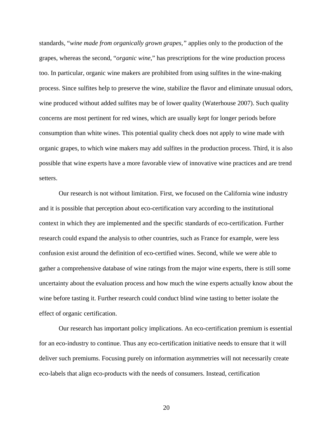standards, "*wine made from organically grown grapes,"* applies only to the production of the grapes, whereas the second, "*organic wine,*" has prescriptions for the wine production process too. In particular, organic wine makers are prohibited from using sulfites in the wine-making process. Since sulfites help to preserve the wine, stabilize the flavor and eliminate unusual odors, wine produced without added sulfites may be of lower quality (Waterhouse 2007). Such quality concerns are most pertinent for red wines, which are usually kept for longer periods before consumption than white wines. This potential quality check does not apply to wine made with organic grapes, to which wine makers may add sulfites in the production process. Third, it is also possible that wine experts have a more favorable view of innovative wine practices and are trend setters.

Our research is not without limitation. First, we focused on the California wine industry and it is possible that perception about eco-certification vary according to the institutional context in which they are implemented and the specific standards of eco-certification. Further research could expand the analysis to other countries, such as France for example, were less confusion exist around the definition of eco-certified wines. Second, while we were able to gather a comprehensive database of wine ratings from the major wine experts, there is still some uncertainty about the evaluation process and how much the wine experts actually know about the wine before tasting it. Further research could conduct blind wine tasting to better isolate the effect of organic certification.

Our research has important policy implications. An eco-certification premium is essential for an eco-industry to continue. Thus any eco-certification initiative needs to ensure that it will deliver such premiums. Focusing purely on information asymmetries will not necessarily create eco-labels that align eco-products with the needs of consumers. Instead, certification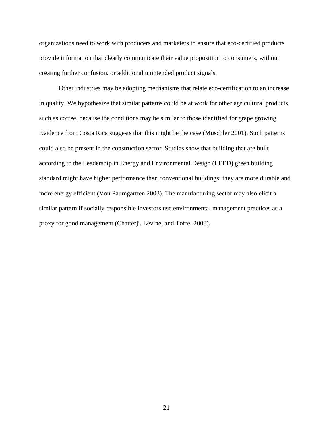organizations need to work with producers and marketers to ensure that eco-certified products provide information that clearly communicate their value proposition to consumers, without creating further confusion, or additional unintended product signals.

Other industries may be adopting mechanisms that relate eco-certification to an increase in quality. We hypothesize that similar patterns could be at work for other agricultural products such as coffee, because the conditions may be similar to those identified for grape growing. Evidence from Costa Rica suggests that this might be the case (Muschler 2001). Such patterns could also be present in the construction sector. Studies show that building that are built according to the Leadership in Energy and Environmental Design (LEED) green building standard might have higher performance than conventional buildings: they are more durable and more energy efficient (Von Paumgartten 2003). The manufacturing sector may also elicit a similar pattern if socially responsible investors use environmental management practices as a proxy for good management (Chatterji, Levine, and Toffel 2008).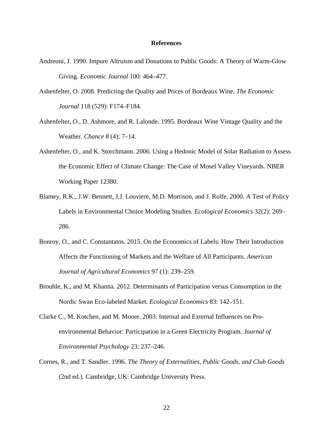#### **References**

- Andreoni, J. 1990. Impure Altruism and Donations to Public Goods: A Theory of Warm-Glow Giving. *Economic Journal* 100: 464–477.
- Ashenfelter, O. 2008. Predicting the Quality and Prices of Bordeaux Wine. *The Economic Journal* 118 (529): F174–F184.
- Ashenfelter, O., D. Ashmore, and R. Lalonde. 1995. Bordeaux Wine Vintage Quality and the Weather. *Chance* 8 (4): 7–14.
- Ashenfelter, O., and K. Storchmann. 2006. Using a Hedonic Model of Solar Radiation to Assess the Economic Effect of Climate Change: The Case of Mosel Valley Vineyards. NBER Working Paper 12380.
- Blamey, R.K., J.W. Bennett, J.J. Louviere, M.D. Morrison, and J. Rolfe. 2000. A Test of Policy Labels in Environmental Choice Modeling Studies. *Ecological Economics* 32(2): 269– 286.
- Bonroy, O., and C. Constantatos. 2015. On the Economics of Labels: How Their Introduction Affects the Functioning of Markets and the Welfare of All Participants. *American Journal of Agricultural Economics* 97 (1): 239–259.
- Brouhle, K., and M. Khanna. 2012. Determinants of Participation versus Consumption in the Nordic Swan Eco-labeled Market. *Ecological Economics* 83: 142–151.
- Clarke C., M. Kotchen, and M. Moore. 2003. Internal and External Influences on Proenvironmental Behavior: Participation in a Green Electricity Program. *Journal of Environmental Psychology* 23: 237–246.
- Cornes, R., and T. Sandler. 1996. *The Theory of Externalities, Public Goods, and Club Goods*  (2nd ed.). Cambridge, UK: Cambridge University Press.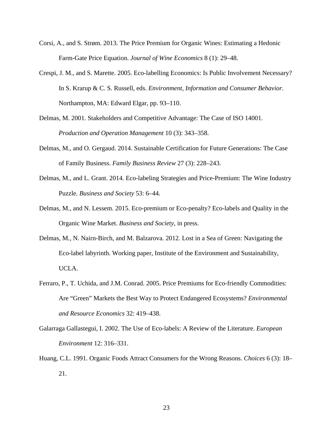- Corsi, A., and S. Strøm. 2013. The Price Premium for Organic Wines: Estimating a Hedonic Farm-Gate Price Equation. *Journal of Wine Economics* 8 (1): 29–48.
- Crespi, J. M., and S. Marette. 2005. Eco-labelling Economics: Is Public Involvement Necessary? In S. Krarup & C. S. Russell, eds. *Environment, Information and Consumer Behavior*. Northampton, MA: Edward Elgar, pp. 93–110.
- Delmas, M. 2001. Stakeholders and Competitive Advantage: The Case of ISO 14001. *Production and Operation Management* 10 (3): 343–358.
- Delmas, M., and O. Gergaud. 2014. Sustainable Certification for Future Generations: The Case of Family Business. *Family Business Review* 27 (3): 228–243.
- Delmas, M., and L. Grant. 2014. Eco-labeling Strategies and Price-Premium: The Wine Industry Puzzle. *Business and Society* 53: 6–44.
- Delmas, M., and N. Lessem. 2015. Eco-premium or Eco-penalty? Eco-labels and Quality in the Organic Wine Market. *Business and Society*, in press.
- Delmas, M., N. Nairn-Birch, and M. Balzarova. 2012. Lost in a Sea of Green: Navigating the Eco-label labyrinth. Working paper, Institute of the Environment and Sustainability, UCLA.
- Ferraro, P., T. Uchida, and J.M. Conrad. 2005. Price Premiums for Eco-friendly Commodities: Are "Green" Markets the Best Way to Protect Endangered Ecosystems? *Environmental and Resource Economics* 32: 419–438.
- Galarraga Gallastegui, I. 2002. The Use of Eco-labels: A Review of the Literature. *European Environment* 12: 316–331.
- Huang, C.L. 1991. Organic Foods Attract Consumers for the Wrong Reasons. *Choices* 6 (3): 18– 21.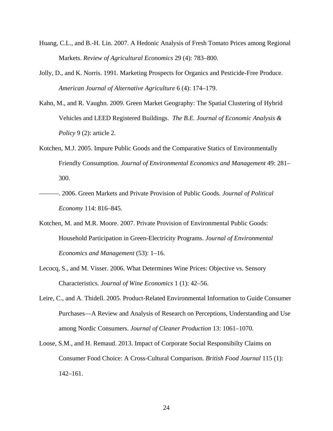- Huang, C.L., and B.-H. Lin. 2007. A Hedonic Analysis of Fresh Tomato Prices among Regional Markets. *Review of Agricultural Economics* 29 (4): 783–800.
- Jolly, D., and K. Norris. 1991. Marketing Prospects for Organics and Pesticide-Free Produce. *American Journal of Alternative Agriculture* 6 (4): 174–179.
- Kahn, M., and R. Vaughn. 2009. Green Market Geography: The Spatial Clustering of Hybrid Vehicles and LEED Registered Buildings. *The B.E. Journal of Economic Analysis & Policy* 9 (2): article 2.
- Kotchen, M.J. 2005. Impure Public Goods and the Comparative Statics of Environmentally Friendly Consumption. *Journal of Environmental Economics and Management* 49: 281– 300.
- ———. 2006. Green Markets and Private Provision of Public Goods. *Journal of Political Economy* 114: 816–845.
- Kotchen, M. and M.R. Moore. 2007. Private Provision of Environmental Public Goods: Household Participation in Green-Electricity Programs. *Journal of Environmental Economics and Management* (53): 1–16.
- Lecocq, S., and M. Visser. 2006. What Determines Wine Prices: Objective vs. Sensory Characteristics. *Journal of Wine Economics* 1 (1): 42–56.
- Leire, C., and A. Thidell. 2005. Product-Related Environmental Information to Guide Consumer Purchases—A Review and Analysis of Research on Perceptions, Understanding and Use among Nordic Consumers. *Journal of Cleaner Production* 13: 1061–1070.
- Loose, S.M., and H. Remaud. 2013. Impact of Corporate Social Responsibilty Claims on Consumer Food Choice: A Cross-Cultural Comparison. *British Food Journal* 115 (1): 142–161.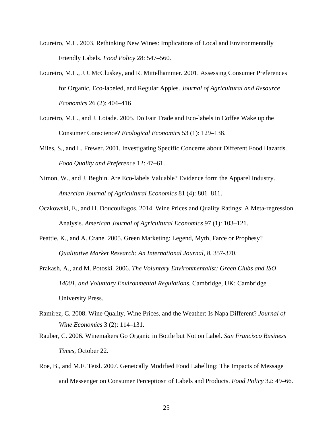- Loureiro, M.L. 2003. Rethinking New Wines: Implications of Local and Environmentally Friendly Labels. *Food Policy* 28: 547–560.
- Loureiro, M.L., J.J. McCluskey, and R. Mittelhammer. 2001. Assessing Consumer Preferences for Organic, Eco-labeled, and Regular Apples. *Journal of Agricultural and Resource Economics* 26 (2): 404–416
- Loureiro, M.L., and J. Lotade. 2005. Do Fair Trade and Eco-labels in Coffee Wake up the Consumer Conscience? *Ecological Economics* 53 (1): 129–138.
- Miles, S., and L. Frewer. 2001. Investigating Specific Concerns about Different Food Hazards. *Food Quality and Preference* 12: 47–61.
- Nimon, W., and J. Beghin. Are Eco-labels Valuable? Evidence form the Apparel Industry. *Amercian Journal of Agricultural Economics* 81 (4): 801–811.
- Oczkowski, E., and H. Doucouliagos. 2014. Wine Prices and Quality Ratings: A Meta-regression Analysis. *American Journal of Agricultural Economics* 97 (1): 103–121.
- Peattie, K., and A. Crane. 2005. Green Marketing: Legend, Myth, Farce or Prophesy? *Qualitative Market Research: An International Journal, 8*, 357-370.
- Prakash, A., and M. Potoski. 2006*. The Voluntary Environmentalist: Green Clubs and ISO 14001, and Voluntary Environmental Regulations*. Cambridge, UK: Cambridge University Press.
- Ramirez, C. 2008. Wine Quality, Wine Prices, and the Weather: Is Napa Different? *Journal of Wine Economics* 3 (2): 114–131.
- Rauber, C. 2006. Winemakers Go Organic in Bottle but Not on Label. *San Francisco Business Times*, October 22.
- Roe, B., and M.F. Teisl. 2007. Geneically Modified Food Labelling: The Impacts of Message and Messenger on Consumer Perceptiosn of Labels and Products. *Food Policy* 32: 49–66.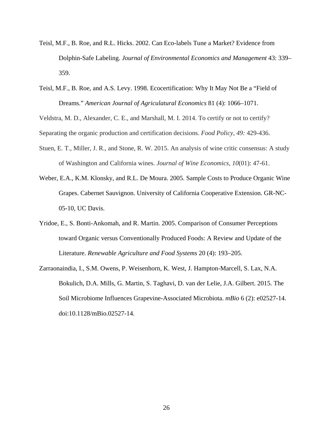- Teisl, M.F., B. Roe, and R.L. Hicks. 2002. Can Eco-labels Tune a Market? Evidence from Dolphin-Safe Labeling. *Journal of Environmental Economics and Management* 43: 339– 359.
- Teisl, M.F., B. Roe, and A.S. Levy. 1998. Ecocertification: Why It May Not Be a "Field of Dreams." *American Journal of Agriculatural Economics* 81 (4): 1066–1071.

Veldstra, M. D., Alexander, C. E., and Marshall, M. I. 2014. To certify or not to certify?

Separating the organic production and certification decisions. *Food Policy*, *49:* 429-436.

- Stuen, E. T., Miller, J. R., and Stone, R. W. 2015. An analysis of wine critic consensus: A study of Washington and California wines. *Journal of Wine Economics*, *10*(01): 47-61.
- Weber, E.A., K.M. Klonsky, and R.L. De Moura. 2005. Sample Costs to Produce Organic Wine Grapes. Cabernet Sauvignon. University of California Cooperative Extension. GR-NC-05-10, UC Davis.
- Yridoe, E., S. Bonti-Ankomah, and R. Martin. 2005. Comparison of Consumer Perceptions toward Organic versus Conventionally Produced Foods: A Review and Update of the Literature. *Renewable Agriculture and Food Systems* 20 (4): 193–205.
- Zarraonaindia, I., S.M. Owens, P. Weisenhorn, K. West, J. Hampton-Marcell, S. Lax, N.A. Bokulich, D.A. Mills, G. Martin, S. Taghavi, D. van der Lelie, J.A. Gilbert. 2015. The Soil Microbiome Influences Grapevine-Associated Microbiota. *mBio* 6 (2): e02527-14. doi:10.1128/mBio.02527-14.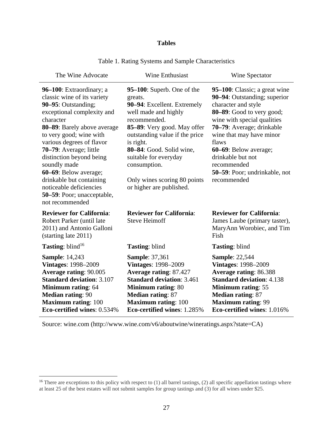## **Tables**

| The Wine Advocate                                                                                                                                                                                                                                                                                                                                                                                                       | <b>Wine Enthusiast</b>                                                                                                                                                                                                                                                                                                      | Wine Spectator                                                                                                                                                                                                                                                                                                                  |
|-------------------------------------------------------------------------------------------------------------------------------------------------------------------------------------------------------------------------------------------------------------------------------------------------------------------------------------------------------------------------------------------------------------------------|-----------------------------------------------------------------------------------------------------------------------------------------------------------------------------------------------------------------------------------------------------------------------------------------------------------------------------|---------------------------------------------------------------------------------------------------------------------------------------------------------------------------------------------------------------------------------------------------------------------------------------------------------------------------------|
| 96–100: Extraordinary; a<br>classic wine of its variety<br>90-95: Outstanding;<br>exceptional complexity and<br>character<br>80-89: Barely above average<br>to very good; wine with<br>various degrees of flavor<br>70–79: Average; little<br>distinction beyond being<br>soundly made<br>60–69: Below average;<br>drinkable but containing<br>noticeable deficiencies<br>50–59: Poor; unacceptable,<br>not recommended | 95–100: Superb. One of the<br>greats.<br>90-94: Excellent. Extremely<br>well made and highly<br>recommended.<br>85–89: Very good. May offer<br>outstanding value if the price<br>is right.<br>80-84: Good. Solid wine,<br>suitable for everyday<br>consumption.<br>Only wines scoring 80 points<br>or higher are published. | 95–100: Classic; a great wine<br>90–94: Outstanding; superior<br>character and style<br>80-89: Good to very good;<br>wine with special qualities<br>70-79: Average; drinkable<br>wine that may have minor<br>flaws<br>60–69: Below average;<br>drinkable but not<br>recommended<br>50–59: Poor; undrinkable, not<br>recommended |
| <b>Reviewer for California:</b><br>Robert Parker (until late<br>2011) and Antonio Galloni<br>(starting late 2011)                                                                                                                                                                                                                                                                                                       | <b>Reviewer for California:</b><br><b>Steve Heimoff</b>                                                                                                                                                                                                                                                                     | <b>Reviewer for California:</b><br>James Laube (primary taster),<br>MaryAnn Worobiec, and Tim<br>Fish                                                                                                                                                                                                                           |
| <b>Tasting:</b> blind <sup>16</sup>                                                                                                                                                                                                                                                                                                                                                                                     | <b>Tasting: blind</b>                                                                                                                                                                                                                                                                                                       | <b>Tasting: blind</b>                                                                                                                                                                                                                                                                                                           |
| <b>Sample: 14,243</b><br><b>Vintages: 1998–2009</b><br><b>Average rating: 90.005</b><br><b>Standard deviation: 3.107</b><br>Minimum rating: 64<br><b>Median rating: 90</b><br><b>Maximum rating: 100</b><br>Eco-certified wines: 0.534%                                                                                                                                                                                 | <b>Sample: 37,361</b><br><b>Vintages: 1998–2009</b><br>Average rating: 87.427<br><b>Standard deviation: 3.461</b><br>Minimum rating: 80<br><b>Median rating: 87</b><br><b>Maximum rating: 100</b><br>Eco-certified wines: 1.285%                                                                                            | <b>Sample: 22,544</b><br><b>Vintages: 1998–2009</b><br>Average rating: 86.388<br><b>Standard deviation: 4.138</b><br><b>Minimum rating: 55</b><br><b>Median rating: 87</b><br><b>Maximum rating: 99</b><br>Eco-certified wines: 1.016%                                                                                          |

Table 1. Rating Systems and Sample Characteristics

Source: wine.com (http://www.wine.com/v6/aboutwine/wineratings.aspx?state=CA)

 $<sup>16</sup>$  There are exceptions to this policy with respect to (1) all barrel tastings, (2) all specific appellation tastings where</sup> at least 25 of the best estates will not submit samples for group tastings and (3) for all wines under \$25.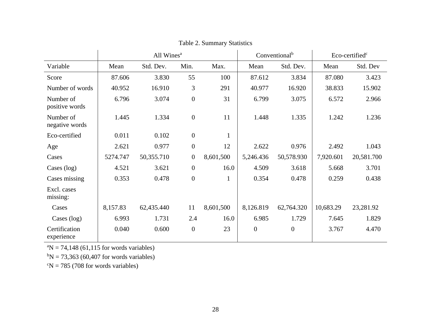|                             | All Wines <sup>a</sup> |            |                  | Conventional <sup>b</sup> |                  | Eco-certified <sup>c</sup> |           |            |
|-----------------------------|------------------------|------------|------------------|---------------------------|------------------|----------------------------|-----------|------------|
| Variable                    | Mean                   | Std. Dev.  | Min.             | Max.                      | Mean             | Std. Dev.                  | Mean      | Std. Dev   |
| Score                       | 87.606                 | 3.830      | 55               | 100                       | 87.612           | 3.834                      | 87.080    | 3.423      |
| Number of words             | 40.952                 | 16.910     | 3                | 291                       | 40.977           | 16.920                     | 38.833    | 15.902     |
| Number of<br>positive words | 6.796                  | 3.074      | $\boldsymbol{0}$ | 31                        | 6.799            | 3.075                      | 6.572     | 2.966      |
| Number of<br>negative words | 1.445                  | 1.334      | $\boldsymbol{0}$ | 11                        | 1.448            | 1.335                      | 1.242     | 1.236      |
| Eco-certified               | 0.011                  | 0.102      | $\boldsymbol{0}$ | $\mathbf{1}$              |                  |                            |           |            |
| Age                         | 2.621                  | 0.977      | $\boldsymbol{0}$ | 12                        | 2.622            | 0.976                      | 2.492     | 1.043      |
| Cases                       | 5274.747               | 50,355.710 | $\boldsymbol{0}$ | 8,601,500                 | 5,246.436        | 50,578.930                 | 7,920.601 | 20,581.700 |
| Cases $(log)$               | 4.521                  | 3.621      | $\boldsymbol{0}$ | 16.0                      | 4.509            | 3.618                      | 5.668     | 3.701      |
| Cases missing               | 0.353                  | 0.478      | $\boldsymbol{0}$ | $\mathbf{1}$              | 0.354            | 0.478                      | 0.259     | 0.438      |
| Excl. cases<br>missing:     |                        |            |                  |                           |                  |                            |           |            |
| Cases                       | 8,157.83               | 62,435.440 | 11               | 8,601,500                 | 8,126.819        | 62,764.320                 | 10,683.29 | 23,281.92  |
| Cases (log)                 | 6.993                  | 1.731      | 2.4              | 16.0                      | 6.985            | 1.729                      | 7.645     | 1.829      |
| Certification<br>experience | 0.040                  | 0.600      | $\boldsymbol{0}$ | 23                        | $\boldsymbol{0}$ | $\boldsymbol{0}$           | 3.767     | 4.470      |

Table 2. Summary Statistics

 ${}^{\text{a}}\text{N} = 74,148$  (61,115 for words variables)

 $bN = 73,363$  (60,407 for words variables)

 $\mathrm{^{c}N} = 785$  (708 for words variables)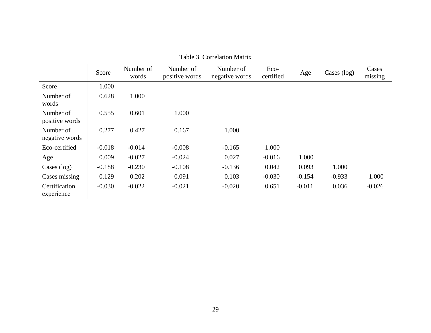|                             | Score    | Number of<br>words | Number of<br>positive words | Number of<br>negative words | Eco-<br>certified | Age      | Cases (log) | Cases<br>missing |
|-----------------------------|----------|--------------------|-----------------------------|-----------------------------|-------------------|----------|-------------|------------------|
| Score                       | 1.000    |                    |                             |                             |                   |          |             |                  |
| Number of<br>words          | 0.628    | 1.000              |                             |                             |                   |          |             |                  |
| Number of<br>positive words | 0.555    | 0.601              | 1.000                       |                             |                   |          |             |                  |
| Number of<br>negative words | 0.277    | 0.427              | 0.167                       | 1.000                       |                   |          |             |                  |
| Eco-certified               | $-0.018$ | $-0.014$           | $-0.008$                    | $-0.165$                    | 1.000             |          |             |                  |
| Age                         | 0.009    | $-0.027$           | $-0.024$                    | 0.027                       | $-0.016$          | 1.000    |             |                  |
| Cases $(log)$               | $-0.188$ | $-0.230$           | $-0.108$                    | $-0.136$                    | 0.042             | 0.093    | 1.000       |                  |
| Cases missing               | 0.129    | 0.202              | 0.091                       | 0.103                       | $-0.030$          | $-0.154$ | $-0.933$    | 1.000            |
| Certification<br>experience | $-0.030$ | $-0.022$           | $-0.021$                    | $-0.020$                    | 0.651             | $-0.011$ | 0.036       | $-0.026$         |

#### Table 3. Correlation Matrix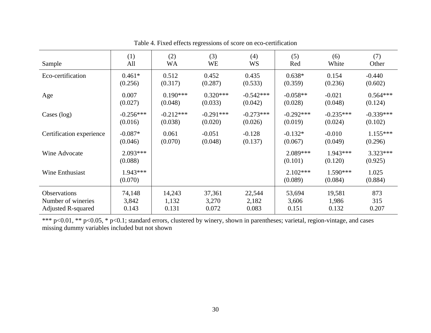| Sample                    | (1)                   | (2)         | (3)         | (4)         | (5)                   | (6)                   | (7)                   |
|---------------------------|-----------------------|-------------|-------------|-------------|-----------------------|-----------------------|-----------------------|
|                           | All                   | <b>WA</b>   | WE          | <b>WS</b>   | Red                   | White                 | Other                 |
| Eco-certification         | $0.461*$              | 0.512       | 0.452       | 0.435       | $0.638*$              | 0.154                 | $-0.440$              |
|                           | (0.256)               | (0.317)     | (0.287)     | (0.533)     | (0.359)               | (0.236)               | (0.602)               |
| Age                       | 0.007                 | $0.190***$  | $0.320***$  | $-0.542***$ | $-0.058**$            | $-0.021$              | $0.564***$            |
|                           | (0.027)               | (0.048)     | (0.033)     | (0.042)     | (0.028)               | (0.048)               | (0.124)               |
| Cases (log)               | $-0.256***$           | $-0.212***$ | $-0.291***$ | $-0.273***$ | $-0.292***$           | $-0.235***$           | $-0.339***$           |
|                           | (0.016)               | (0.038)     | (0.020)     | (0.026)     | (0.019)               | (0.024)               | (0.102)               |
| Certification experience  | $-0.087*$             | 0.061       | $-0.051$    | $-0.128$    | $-0.132*$             | $-0.010$              | $1.155***$            |
|                           | (0.046)               | (0.070)     | (0.048)     | (0.137)     | (0.067)               | (0.049)               | (0.296)               |
| Wine Advocate             | $2.093***$<br>(0.088) |             |             |             | $2.089***$<br>(0.101) | $1.943***$<br>(0.120) | $3.323***$<br>(0.925) |
| Wine Enthusiast           | 1.943***<br>(0.070)   |             |             |             | $2.102***$<br>(0.089) | $1.590***$<br>(0.084) | 1.025<br>(0.884)      |
| <b>Observations</b>       | 74,148                | 14,243      | 37,361      | 22,544      | 53,694                | 19,581                | 873                   |
| Number of wineries        | 3,842                 | 1,132       | 3,270       | 2,182       | 3,606                 | 1,986                 | 315                   |
| <b>Adjusted R-squared</b> | 0.143                 | 0.131       | 0.072       | 0.083       | 0.151                 | 0.132                 | 0.207                 |

Table 4. Fixed effects regressions of score on eco-certification

\*\*\* p<0.01, \*\* p<0.05, \* p<0.1; standard errors, clustered by winery, shown in parentheses; varietal, region-vintage, and cases missing dummy variables included but not shown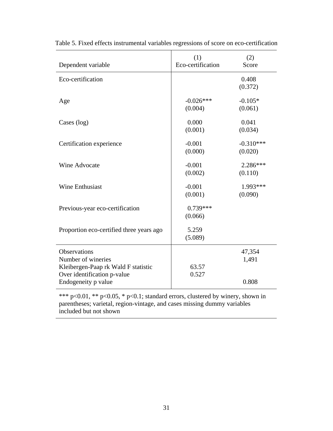| Dependent variable                                                                                                                     | (1)<br>Eco-certification | (2)<br>Score             |
|----------------------------------------------------------------------------------------------------------------------------------------|--------------------------|--------------------------|
| Eco-certification                                                                                                                      |                          | 0.408<br>(0.372)         |
| Age                                                                                                                                    | $-0.026***$<br>(0.004)   | $-0.105*$<br>(0.061)     |
| Cases (log)                                                                                                                            | 0.000<br>(0.001)         | 0.041<br>(0.034)         |
| Certification experience                                                                                                               | $-0.001$<br>(0.000)      | $-0.310***$<br>(0.020)   |
| Wine Advocate                                                                                                                          | $-0.001$<br>(0.002)      | 2.286***<br>(0.110)      |
| <b>Wine Enthusiast</b>                                                                                                                 | $-0.001$<br>(0.001)      | 1.993***<br>(0.090)      |
| Previous-year eco-certification                                                                                                        | $0.739***$<br>(0.066)    |                          |
| Proportion eco-certified three years ago                                                                                               | 5.259<br>(5.089)         |                          |
| <b>Observations</b><br>Number of wineries<br>Kleibergen-Paap rk Wald F statistic<br>Over identification p-value<br>Endogeneity p value | 63.57<br>0.527           | 47,354<br>1,491<br>0.808 |

Table 5. Fixed effects instrumental variables regressions of score on eco-certification

\*\*\*  $p<0.01$ , \*\*  $p<0.05$ , \*  $p<0.1$ ; standard errors, clustered by winery, shown in parentheses; varietal, region-vintage, and cases missing dummy variables included but not shown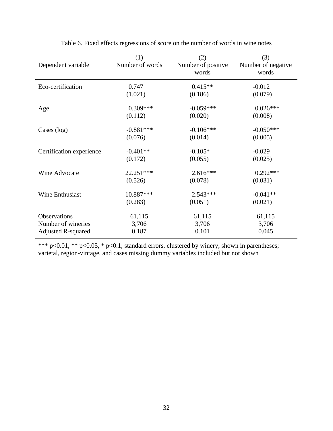| Dependent variable        | (1)<br>Number of words | (2)<br>Number of positive<br>words | (3)<br>Number of negative<br>words |
|---------------------------|------------------------|------------------------------------|------------------------------------|
| Eco-certification         | 0.747                  | $0.415**$                          | $-0.012$                           |
|                           | (1.021)                | (0.186)                            | (0.079)                            |
| Age                       | $0.309***$             | $-0.059***$                        | $0.026***$                         |
|                           | (0.112)                | (0.020)                            | (0.008)                            |
| Cases $(log)$             | $-0.881***$            | $-0.106***$                        | $-0.050***$                        |
|                           | (0.076)                | (0.014)                            | (0.005)                            |
| Certification experience  | $-0.401**$             | $-0.105*$                          | $-0.029$                           |
|                           | (0.172)                | (0.055)                            | (0.025)                            |
| Wine Advocate             | 22.251***              | $2.616***$                         | $0.292***$                         |
|                           | (0.526)                | (0.078)                            | (0.031)                            |
| Wine Enthusiast           | 10.887***              | $2.543***$                         | $-0.041**$                         |
|                           | (0.283)                | (0.051)                            | (0.021)                            |
| Observations              | 61,115                 | 61,115                             | 61,115                             |
| Number of wineries        | 3,706                  | 3,706                              | 3,706                              |
| <b>Adjusted R-squared</b> | 0.187                  | 0.101                              | 0.045                              |

Table 6. Fixed effects regressions of score on the number of words in wine notes

\*\*\* p<0.01, \*\* p<0.05, \* p<0.1; standard errors, clustered by winery, shown in parentheses; varietal, region-vintage, and cases missing dummy variables included but not shown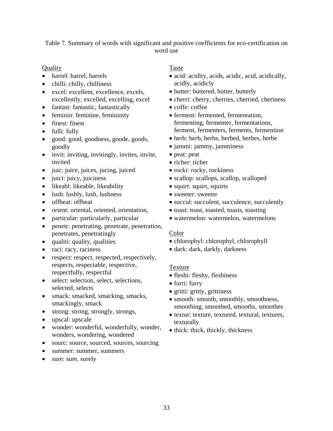Table 7. Summary of words with significant and positive coefficients for eco-certification on word use

### **Quality**

- barrel: barrel, barrels
- chilli: chilly, chilliness
- excel: excellent, excellence, excels, excellently, excelled, excelling, excel
- fantast: fantastic, fantastically
- feminin: feminine, femininity
- finest: finest
- fulli: fully
- good: good, goodness, goode, goods, goodly
- invit: inviting, invitingly, invites, invite, invited
- juic: juice, juices, jucing, juiced
- $\bullet$  juici: juicy, juiciness
- likeabl: likeable, likeability
- lush: lushly, lush, lushness
- offbeat: offbeat
- orient: oriental, oriented, orientation,
- particular: particularly, particular
- penetr: penetrating, penetrate, penetration, penetrates, penetratingly
- qualiti: quality, qualities
- raci: racy, raciness
- respect: respect, respected, respectively, respects, respectable, respective, respectfully, respectful
- select: selection, select, selections, selected, selects
- smack: smacked, smacking, smacks, smackingly, smack
- strong: strong, strongly, strongs,
- upscal: upscale
- wonder: wonderful, wonderfully, wonder, wonders, wondering, wondered
- sourc: source, sourced, sources, sourcing
- summer: summer, summers
- sure: sure, surely

## Taste

- acid: acidity, acids, acidic, acid, acidically, acidly, acidicly
- butter: buttered, butter, butterly
- cherri: cherry, cherries, cherried, cheriness
- coffe: coffee
- ferment: fermented, fermentation, fermenting, fermenter, fermentations, ferment, fermenters, ferments, fermention
- herb: herb, herbs, herbed, herbes, herbe
- jammi: jammy, jamminess
- peat: peat
- richer: richer
- rocki: rocky, rockiness
- scallop: scallops, scallop, scalloped
- squirt: squirt, squirts
- sweeter: sweeter
- succul: succulent, succulence, succulently
- toast: toast, toasted, toasts, toasting
- watermelon: watermelon, watermelons

## Color

- chlorophyl: chlorophyl, chlorophyll
- dark: dark, darkly, darkness

## Texture

- fleshi: fleshy, fleshiness
- furri: furry
- gritti: gritty, grittiness
- smooth: smooth, smoothly, smoothness, smoothing, smoothed, smooths, smoothes
- textur: texture, textured, textural, textures, texturally
- thick: thick, thickly, thickness